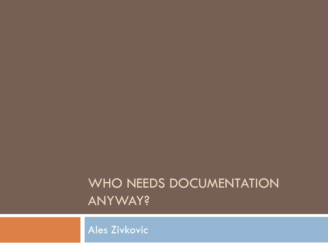#### WHO NEEDS DOCUMENTATION ANYWAY?

Ales Zivkovic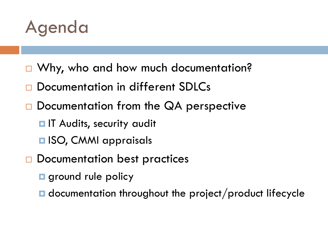

- □ Why, who and how much documentation?
- Documentation in different SDLCs
- Documentation from the QA perspective
	- $\blacksquare$  **IT Audits, security audit**
	- $\blacksquare$  **ISO, CMMI appraisals**
- □ Documentation best practices
	- **g** ground rule policy
	- $\blacksquare$  documentation throughout the project/product lifecycle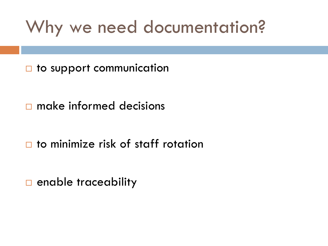## Why we need documentation?

□ to support communication

make informed decisions

to minimize risk of staff rotation

 $\Box$  enable traceability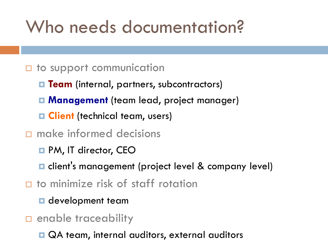## Who needs documentation?

#### $\Box$  to support communication

- **Team** (internal, partners, subcontractors)
- **Management** (team lead, project manager)
- **E Client** (technical team, users)
- $\square$  make informed decisions
	- PM, IT director, CEO
	- $\blacksquare$  client's management (project level & company level)
- □ to minimize risk of staff rotation
	- **D** development team
- **D** enable traceability
	- QA team, internal auditors, external auditors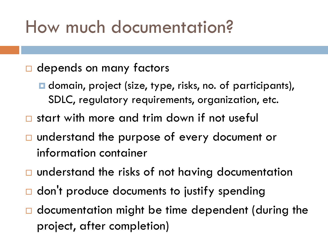## How much documentation?

#### □ depends on many factors

- **□** domain, project (size, type, risks, no. of participants), SDLC, regulatory requirements, organization, etc.
- □ start with more and trim down if not useful
- □ understand the purpose of every document or information container
- $\Box$  understand the risks of not having documentation
- $\Box$  don't produce documents to justify spending
- $\Box$  documentation might be time dependent (during the project, after completion)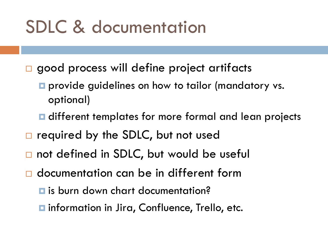## SDLC & documentation

- □ good process will define project artifacts
	- **P** provide guidelines on how to tailor (mandatory vs. optional)
	- **Q** different templates for more formal and lean projects
- $\Box$  required by the SDLC, but not used
- □ not defined in SDLC, but would be useful
- documentation can be in different form
	- **E** is burn down chart documentation?
	- **□** information in Jira, Confluence, Trello, etc.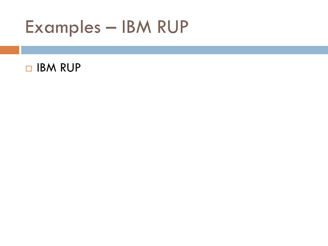Examples – IBM RUP

#### **D** IBM RUP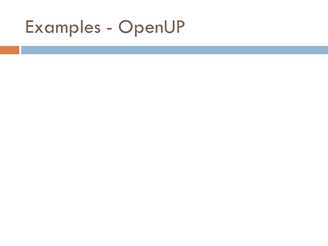## Examples - OpenUP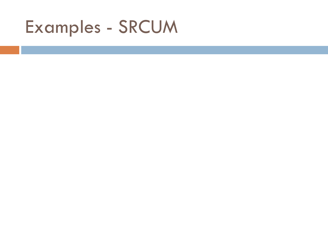## Examples - SRCUM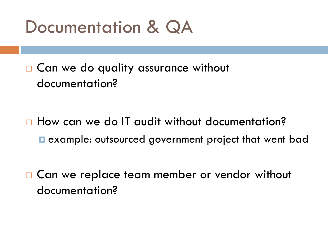## Documentation & QA

□ Can we do quality assurance without documentation?

□ How can we do IT audit without documentation? **E** example: outsourced government project that went bad

□ Can we replace team member or vendor without documentation?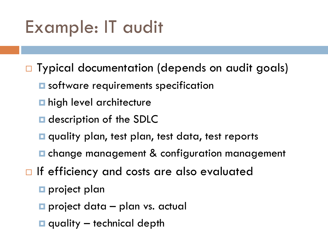# Example: IT audit

□ Typical documentation (depends on audit goals)

- $\blacksquare$  software requirements specification
- **n** high level architecture
- **Q** description of the SDLC
- $\blacksquare$  quality plan, test plan, test data, test reports
- $\blacksquare$  change management & configuration management
- $\Box$  If efficiency and costs are also evaluated
	- **project plan**
	- $\blacksquare$  project data plan vs. actual
	- $\Box$  quality technical depth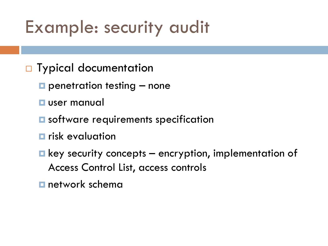## Example: security audit

- □ Typical documentation
	- $\square$  penetration testing  $-$  none
	- **user manual**
	- $\blacksquare$  software requirements specification
	- **F** risk evaluation
	- $\blacksquare$  key security concepts encryption, implementation of Access Control List, access controls
	- **n** network schema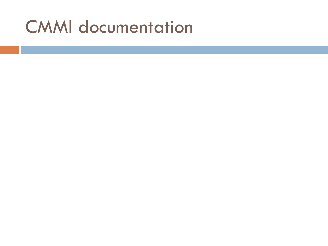### CMMI documentation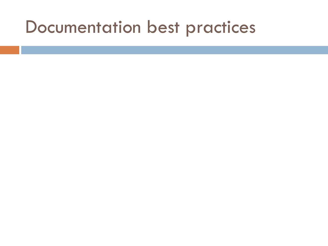#### Documentation best practices